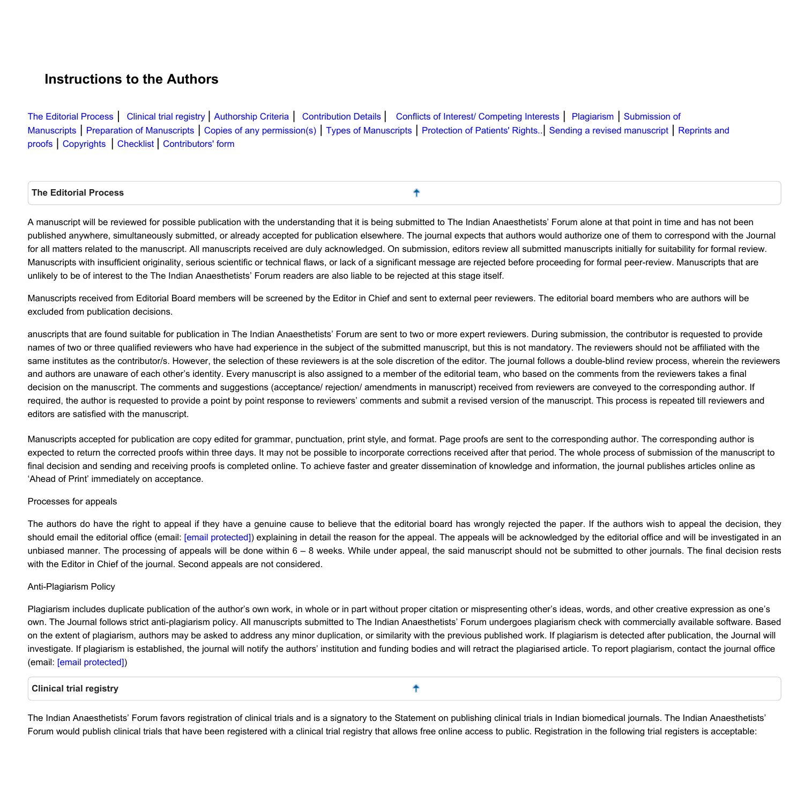# **Instructions to the Authors**

[The](#page-0-0) [Editorial](#page-0-0) [Process](#page-0-0) | [Clinical](#page-0-1) [trial](#page-0-1) [registry](#page-0-1) [|](#page-0-1) [Authorship](#page-1-0) [Criteria](#page-1-0) | [Contribution](#page-1-1) [Details](#page-1-1) | [Conflicts](#page-1-2) [of](#page-1-4) [Interest/](#page-1-2) [Competing](#page-1-2) [Interests](#page-1-2)| [Plagiarism](#page-1-3) | [Submission](#page-1-4) of [Manuscripts](#page-2-2) | [Preparation](#page-2-0) [of](#page-6-0) Manuscripts | [Copies](#page-2-1) of [any](#page-2-1) [permission\(s\)](#page-2-1) | [Types](#page-2-2) of Manuscripts | [Protection](#page-6-0) of [Patients'](#page-6-0) [Rights..](#page-6-0) | [Sending](#page-6-1) [a](#page-6-1) [revised](#page-6-1) [manuscript](#page-6-1) | [Reprints](#page-6-2) [and](#page-6-2) **[proofs](#page-6-2) | [Copyrights](#page-6-3) | [Checklist](#page-6-4) | [Contributors'](#page-7-0) [form](#page-7-0)**

#### <span id="page-0-0"></span> **The Editorial Process**

A manuscript will be reviewed for possible publication with the understanding that it is being submitted to The Indian Anaesthetists' Forum alone at that point in time and has not been published anywhere, simultaneously submitted, or already accepted for publication elsewhere. The journal expects that authors would authorize one of them to correspond with the Journal for all matters related to the manuscript. All manuscripts received are duly acknowledged. On submission, editors review all submitted manuscripts initially for suitability for formal review. Manuscripts with insufficient originality, serious scientific or technical flaws, or lack of a significant message are rejected before proceeding for formal peer-review. Manuscripts that are unlikely to be of interest to the The Indian Anaesthetists' Forum readers are also liable to be rejected at this stage itself.

个

Manuscripts received from Editorial Board members will be screened by the Editor in Chief and sent to external peer reviewers. The editorial board members who are authors will be **excluded from publication decisions.**

anuscripts that are found suitable for publication in The Indian Anaesthetists' Forum are sent to two or more expert reviewers. During submission, the contributor is requested to provide names of two or three qualified reviewers who have had experience in the subject of the submitted manuscript, but this is not mandatory. The reviewers should not be affiliated with the same institutes as the contributor/s. However, the selection of these reviewers is at the sole discretion of the editor. The journal follows a double-blind review process, wherein the reviewers and authors are unaware of each other's identity. Every manuscript is also assigned to a member of the editorial team, who based on the comments from the reviewers takes a final decision on the manuscript. The comments and suggestions (acceptance/ rejection/ amendments in manuscript) received from reviewers are conveyed to the corresponding author. If required, the author is requested to provide a point by point response to reviewers' comments and submit a revised version of the manuscript. This process is repeated till reviewers and **editors are satisfied with the manuscript.**

Manuscripts accepted for publication are copy edited for grammar, punctuation, print style, and format. Page proofs are sent to the corresponding author. The corresponding author is expected to return the corrected proofs within three days. It may not be possible to incorporate corrections received after that period. The whole process of submission of the manuscript to final decision and sending and receiving proofs is completed online. To achieve faster and greater dissemination of knowledge and information, the journal publishes articles online as **'Ahead of Print' immediately on acceptance.**

#### **Processes for appeals**

The authors do have the right to appeal if they have a genuine cause to believe that the editorial board has wrongly rejected the paper. If the authors wish to appeal the decision, they should email the editorial office (email: [\[email protected\]\)](http://www.theiaforum.org/cdn-cgi/l/email-protection#f590919c819a87b5819d909c94939a878098db9a8792) explaining in detail the reason for the appeal. The appeals will be acknowledged by the editorial office and will be investigated in an unbiased manner. The processing of appeals will be done within 6 - 8 weeks. While under appeal, the said manuscript should not be submitted to other journals. The final decision rests **with the Editor in Chief of the journal. Second appeals are not considered.**

#### **Anti-Plagiarism Policy**

Plagiarism includes duplicate publication of the author's own work, in whole or in part without proper citation or mispresenting other's ideas, words, and other creative expression as one's own. The Journal follows strict anti-plagiarism policy. All manuscripts submitted to The Indian Anaesthetists' Forum undergoes plagiarism check with commercially available software. Based on the extent of plagiarism, authors may be asked to address any minor duplication, or similarity with the previous published work. If plagiarism is detected after publication, the Journal will investigate. If plagiarism is established, the journal will notify the authors' institution and funding bodies and will retract the plagiarised article. To report plagiarism, contact the journal office **(email: [\[email protected\]\)](http://www.theiaforum.org/cdn-cgi/l/email-protection#badfded3ced5c8faced2dfd3dbdcd5c8cfd794d5c8dd)** 

4

<span id="page-0-1"></span> **Clinical trial registry**

The Indian Anaesthetists' Forum favors registration of clinical trials and is a signatory to the Statement on publishing clinical trials in Indian biomedical journals. The Indian Anaesthetists' Forum would publish clinical trials that have been registered with a clinical trial registry that allows free online access to public. Registration in the following trial registers is acceptable: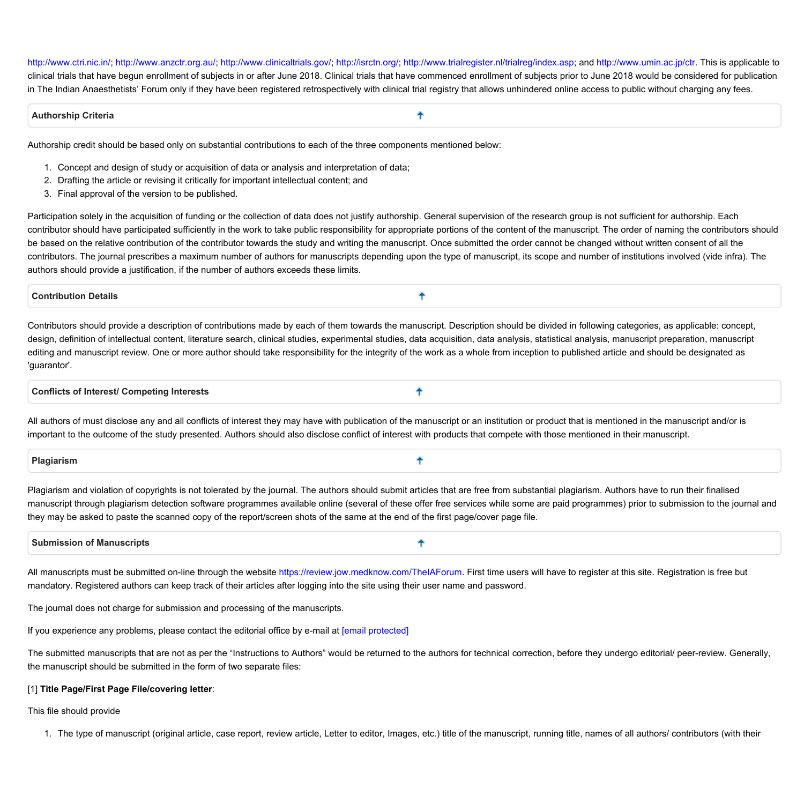<http://www.ctri.nic.in/>; [http://www.anzctr.org.au/;](http://www.anzctr.org.au/) [http://www.clinicaltrials.gov/;](https://www.clinicaltrials.gov/) [http://isrctn.org/;](http://isrctn.org/) <http://www.trialregister.nl/trialreg/index.asp>; and [http://www.umin.ac.jp/ctr.](http://www.umin.ac.jp/ctr) This is applicable to clinical trials that have begun enrollment of subjects in or after June 2018. Clinical trials that have commenced enrollment of subjects prior to June 2018 would be considered for publication in The Indian Anaesthetists' Forum only if they have been registered retrospectively with clinical trial registry that allows unhindered online access to public without charging any fees.

ቶ

#### <span id="page-1-0"></span> **Authorship Criteria**

Authorship credit should be based only on substantial contributions to each of the three components mentioned below:

- **1. Concept and design of study or acquisition of data or analysis and interpretation of data;**
- **2. Drafting the article or revising it critically for important intellectual content; and**
- **3. Final approval of the version to be published.**

Participation solely in the acquisition of funding or the collection of data does not justify authorship. General supervision of the research group is not sufficient for authorship. Each contributor should have participated sufficiently in the work to take public responsibility for appropriate portions of the content of the manuscript. The order of naming the contributors should be based on the relative contribution of the contributor towards the study and writing the manuscript. Once submitted the order cannot be changed without written consent of all the contributors. The journal prescribes a maximum number of authors for manuscripts depending upon the type of manuscript, its scope and number of institutions involved (vide infra). The **authors should provide a justification, if the number of authors exceeds these limits.**

4

4

#### <span id="page-1-1"></span> **Contribution Details**

Contributors should provide a description of contributions made by each of them towards the manuscript. Description should be divided in following categories, as applicable: concept, design, definition of intellectual content, literature search, clinical studies, experimental studies, data acquisition, data analysis, statistical analysis, manuscript preparation, manuscript editing and manuscript review. One or more author should take responsibility for the integrity of the work as a whole from inception to published article and should be designated as **'guarantor'.** 

#### <span id="page-1-2"></span> **Conflicts of Interest/ Competing Interests**

All authors of must disclose any and all conflicts of interest they may have with publication of the manuscript or an institution or product that is mentioned in the manuscript and/or is important to the outcome of the study presented. Authors should also disclose conflict of interest with products that compete with those mentioned in their manuscript.

<span id="page-1-3"></span>

| Plagiarism |  |
|------------|--|
|------------|--|

Plagiarism and violation of copyrights is not tolerated by the journal. The authors should submit articles that are free from substantial plagiarism. Authors have to run their finalised manuscript through plagiarism detection software programmes available online (several of these offer free services while some are paid programmes) prior to submission to the journal and they may be asked to paste the scanned copy of the report/screen shots of the same at the end of the first page/cover page file.

#### <span id="page-1-4"></span>牛  **Submission of Manuscripts**

All manuscripts must be submitted on-line through the website [https://review.jow.medknow.com/TheIAForum.](https://review.jow.medknow.com/TheIAForum) First time users will have to register at this site. Registration is free but mandatory. Registered authors can keep track of their articles after logging into the site using their user name and password.

**The journal does not charge for submission and processing of the manuscripts.**

**If you experience any problems, please contact the editorial office by e-mail at [\[email protected\]](http://www.theiaforum.org/cdn-cgi/l/email-protection)**

The submitted manuscripts that are not as per the "Instructions to Authors" would be returned to the authors for technical correction, before they undergo editorial/ peer-review. Generally, **the manuscript should be submitted in the form of two separate files:**

#### **[1] Title Page/First Page File/covering letter:**

**This file should provide**

1. The type of manuscript (original article, case report, review article, Letter to editor, Images, etc.) title of the manuscript, running title, names of all authors/ contributors (with their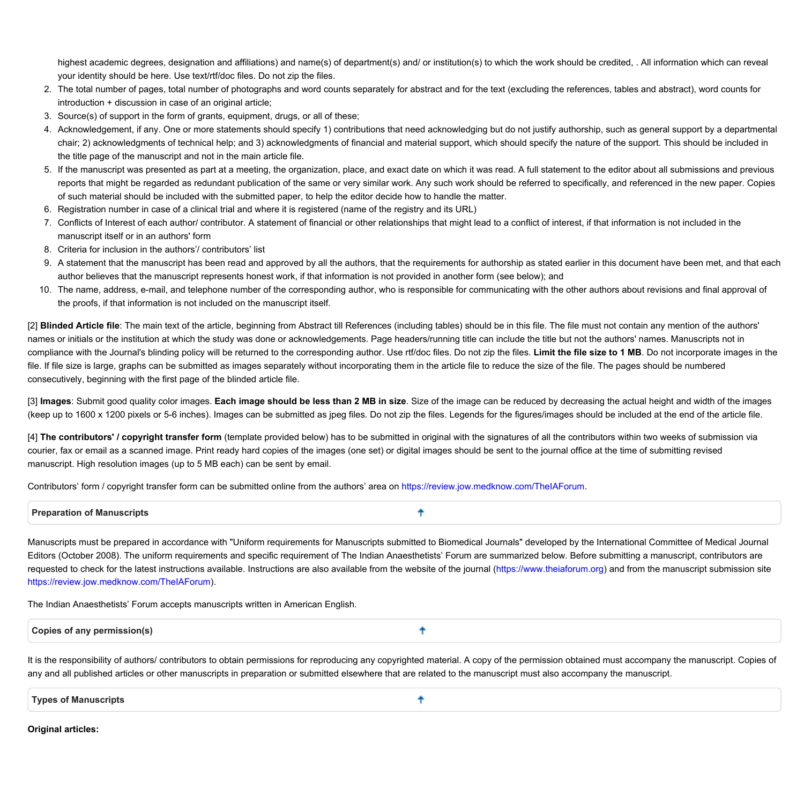highest academic degrees, designation and affiliations) and name(s) of department(s) and/ or institution(s) to which the work should be credited, . All information which can reveal **your identity should be here. Use text/rtf/doc files. Do not zip the files.**

- 2. The total number of pages, total number of photographs and word counts separately for abstract and for the text (excluding the references, tables and abstract), word counts for **introduction + discussion in case of an original article;**
- **3. Source(s) of support in the form of grants, equipment, drugs, or all of these;**
- 4. Acknowledgement, if any. One or more statements should specify 1) contributions that need acknowledging but do not justify authorship, such as general support by a departmental chair; 2) acknowledgments of technical help; and 3) acknowledgments of financial and material support, which should specify the nature of the support. This should be included in **the title page of the manuscript and not in the main article file.**
- 5. If the manuscript was presented as part at a meeting, the organization, place, and exact date on which it was read. A full statement to the editor about all submissions and previous reports that might be regarded as redundant publication of the same or very similar work. Any such work should be referred to specifically, and referenced in the new paper. Copies of such material should be included with the submitted paper, to help the editor decide how to handle the matter.
- 6. Registration number in case of a clinical trial and where it is registered (name of the registry and its URL)
- 7. Conflicts of Interest of each author/contributor. A statement of financial or other relationships that might lead to a conflict of interest, if that information is not included in the **manuscript itself or in an authors' form**
- **8. Criteria for inclusion in the authors'/ contributors' list**
- 9. A statement that the manuscript has been read and approved by all the authors, that the requirements for authorship as stated earlier in this document have been met, and that each author believes that the manuscript represents honest work, if that information is not provided in another form (see below); and
- 10. The name, address, e-mail, and telephone number of the corresponding author, who is responsible for communicating with the other authors about revisions and final approval of **the proofs, if that information is not included on the manuscript itself.**

[2] Blinded Article file: The main text of the article, beginning from Abstract till References (including tables) should be in this file. The file must not contain any mention of the authors' names or initials or the institution at which the study was done or acknowledgements. Page headers/running title can include the title but not the authors' names. Manuscripts not in compliance with the Journal's blinding policy will be returned to the corresponding author. Use rtf/doc files. Do not zip the files. Limit the file size to 1 MB. Do not incorporate images in the file. If file size is large, graphs can be submitted as images separately without incorporating them in the article file to reduce the size of the file. The pages should be numbered **consecutively, beginning with the first page of the blinded article file.**

[3] Images: Submit good quality color images. Each image should be less than 2 MB in size. Size of the image can be reduced by decreasing the actual height and width of the images (keep up to 1600 x 1200 pixels or 5-6 inches). Images can be submitted as jpeg files. Do not zip the files. Legends for the figures/images should be included at the end of the article file.

[4] The contributors' / copyright transfer form (template provided below) has to be submitted in original with the signatures of all the contributors within two weeks of submission via courier, fax or email as a scanned image. Print ready hard copies of the images (one set) or digital images should be sent to the journal office at the time of submitting revised **manuscript. High resolution images (up to 5 MB each) can be sent by email.**

Contributors' form / copyright transfer form can be submitted online from the authors' area on [https://review.jow.medknow.com/TheIAForum.](https://review.jow.medknow.com/TheIAForum)

<span id="page-2-0"></span>

| <b>Preparation of Manuscripts</b> |  |  |
|-----------------------------------|--|--|
|                                   |  |  |

Manuscripts must be prepared in accordance with "Uniform requirements for Manuscripts submitted to Biomedical Journals" developed by the International Committee of Medical Journal Editors (October 2008). The uniform requirements and specific requirement of The Indian Anaesthetists' Forum are summarized below. Before submitting a manuscript, contributors are requested to check for the latest instructions available. Instructions are also available from the website of the journal ([https://www.theiaforum.org\)](https://www.theiaforum.org) and from the manuscript submission site **[https://review.jow.medknow.com/TheIAForum\)](https://review.jow.medknow.com/TheIAForum).**

**The Indian Anaesthetists' Forum accepts manuscripts written in American English.**

<span id="page-2-1"></span>个 **Copies of any permission(s)**

It is the responsibility of authors/ contributors to obtain permissions for reproducing any copyrighted material. A copy of the permission obtained must accompany the manuscript. Copies of any and all published articles or other manuscripts in preparation or submitted elsewhere that are related to the manuscript must also accompany the manuscript.

<span id="page-2-2"></span>

| <b>Types of Manuscripts</b> |  |
|-----------------------------|--|
|                             |  |

**Original articles:**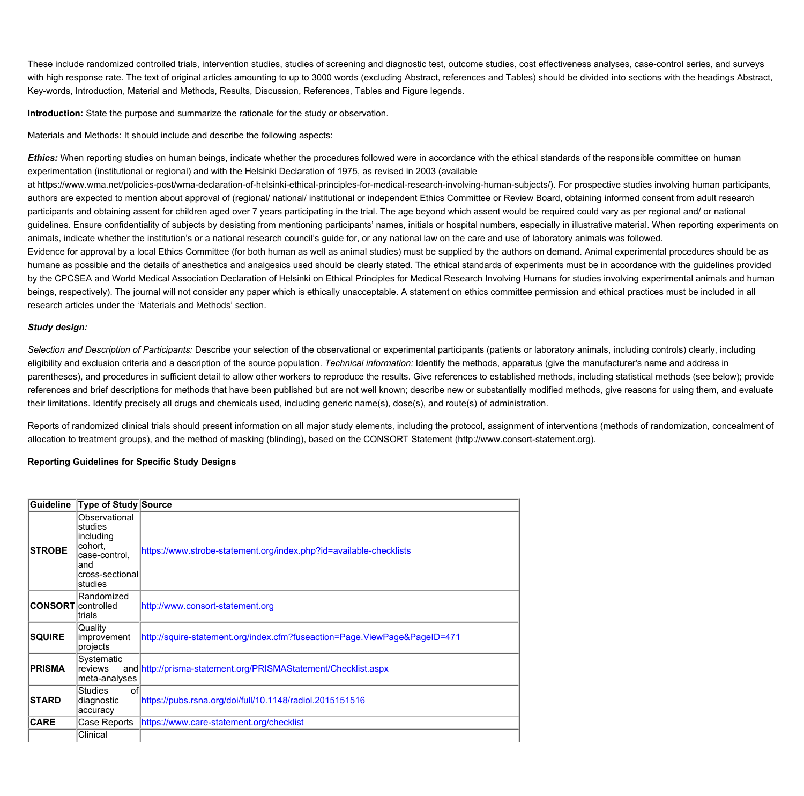These include randomized controlled trials, intervention studies, studies of screening and diagnostic test, outcome studies, cost effectiveness analyses, case-control series, and surveys with high response rate. The text of original articles amounting to up to 3000 words (excluding Abstract, references and Tables) should be divided into sections with the headings Abstract, **Key-words, Introduction, Material and Methods, Results, Discussion, References, Tables and Figure legends.**

**Introduction: State the purpose and summarize the rationale for the study or observation.** 

**Materials and Methods: It should include and describe the following aspects:**

Ethics: When reporting studies on human beings, indicate whether the procedures followed were in accordance with the ethical standards of the responsible committee on human experimentation (institutional or regional) and with the Helsinki Declaration of 1975, as revised in 2003 (available

at https://www.wma.net/policies-post/wma-declaration-of-helsinki-ethical-principles-for-medical-research-involving-human-subjects/). For prospective studies involving human participants, authors are expected to mention about approval of (regional/ national/ institutional or independent Ethics Committee or Review Board, obtaining informed consent from adult research participants and obtaining assent for children aged over 7 years participating in the trial. The age beyond which assent would be required could vary as per regional and/ or national guidelines. Ensure confidentiality of subjects by desisting from mentioning participants' names, initials or hospital numbers, especially in illustrative material. When reporting experiments on animals, indicate whether the institution's or a national research council's guide for, or any national law on the care and use of laboratory animals was followed. Evidence for approval by a local Ethics Committee (for both human as well as animal studies) must be supplied by the authors on demand. Animal experimental procedures should be as humane as possible and the details of anesthetics and analgesics used should be clearly stated. The ethical standards of experiments must be in accordance with the guidelines provided by the CPCSEA and World Medical Association Declaration of Helsinki on Ethical Principles for Medical Research Involving Humans for studies involving experimental animals and human beings, respectively). The journal will not consider any paper which is ethically unacceptable. A statement on ethics committee permission and ethical practices must be included in all

## *Study design:*

Selection and Description of Participants: Describe your selection of the observational or experimental participants (patients or laboratory animals, including controls) clearly, including eligibility and exclusion criteria and a description of the source population. Technical information: Identify the methods, apparatus (give the manufacturer's name and address in parentheses), and procedures in sufficient detail to allow other workers to reproduce the results. Give references to established methods, including statistical methods (see below); provide references and brief descriptions for methods that have been published but are not well known; describe new or substantially modified methods, give reasons for using them, and evaluate their limitations. Identify precisely all drugs and chemicals used, including generic name(s), dose(s), and route(s) of administration.

Reports of randomized clinical trials should present information on all major study elements, including the protocol, assignment of interventions (methods of randomization, concealment of allocation to treatment groups), and the method of masking (blinding), based on the CONSORT Statement (http://www.consort-statement.org).

#### **Reporting Guidelines for Specific Study Designs**

**research articles under the 'Materials and Methods' section.**

| Guideline                 | Type of Study Source                                                                                   |                                                                           |
|---------------------------|--------------------------------------------------------------------------------------------------------|---------------------------------------------------------------------------|
| <b>STROBE</b>             | Observational<br>studies<br>including<br>cohort,<br>case-control.<br>and<br>cross-sectional<br>studies | https://www.strobe-statement.org/index.php?id=available-checklists        |
| <b>CONSORT</b> controlled | Randomized<br>trials                                                                                   | http://www.consort-statement.org                                          |
| <b>SQUIRE</b>             | Quality<br>improvement<br>projects                                                                     | http://squire-statement.org/index.cfm?fuseaction=Page.ViewPage&PageID=471 |
| <b>PRISMA</b>             | Systematic<br>reviews<br>meta-analyses                                                                 | and http://prisma-statement.org/PRISMAStatement/Checklist.aspx            |
| <b>STARD</b>              | of<br><b>Studies</b><br>diagnostic<br>accuracy                                                         | https://pubs.rsna.org/doi/full/10.1148/radiol.2015151516                  |
| <b>CARE</b>               | Case Reports                                                                                           | https://www.care-statement.org/checklist                                  |
|                           | Clinical                                                                                               |                                                                           |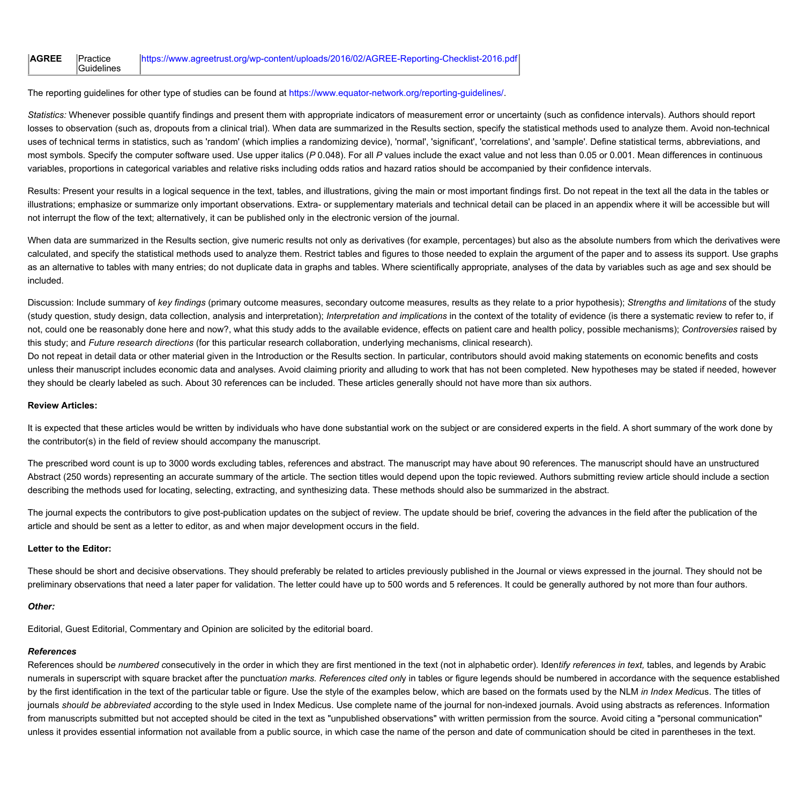| <b>AGREE</b> | Practice<br><b>Suidelines</b> | https://www.agreetrust.org/wp-content/uploads/2016/02/AGREE-Reporting-Checklist-2016.pdf |
|--------------|-------------------------------|------------------------------------------------------------------------------------------|
|--------------|-------------------------------|------------------------------------------------------------------------------------------|

**The reporting guidelines for other type of studies can be found at <https://www.equator-network.org/reporting-guidelines/>.** 

Statistics: Whenever possible quantify findings and present them with appropriate indicators of measurement error or uncertainty (such as confidence intervals). Authors should report losses to observation (such as, dropouts from a clinical trial). When data are summarized in the Results section, specify the statistical methods used to analyze them. Avoid non-technical uses of technical terms in statistics, such as 'random' (which implies a randomizing device), 'normal', 'significant', 'correlations', and 'sample'. Define statistical terms, abbreviations, and most symbols. Specify the computer software used. Use upper italics (P0.048). For all P values include the exact value and not less than 0.05 or 0.001. Mean differences in continuous variables, proportions in categorical variables and relative risks including odds ratios and hazard ratios should be accompanied by their confidence intervals.

Results: Present your results in a logical sequence in the text, tables, and illustrations, giving the main or most important findings first. Do not repeat in the text all the data in the tables or illustrations; emphasize or summarize only important observations. Extra- or supplementary materials and technical detail can be placed in an appendix where it will be accessible but will not interrupt the flow of the text; alternatively, it can be published only in the electronic version of the journal.

When data are summarized in the Results section, give numeric results not only as derivatives (for example, percentages) but also as the absolute numbers from which the derivatives were calculated, and specify the statistical methods used to analyze them. Restrict tables and figures to those needed to explain the argument of the paper and to assess its support. Use graphs as an alternative to tables with many entries; do not duplicate data in graphs and tables. Where scientifically appropriate, analyses of the data by variables such as age and sex should be **included.**

Discussion: Include summary of key findings (primary outcome measures, secondary outcome measures, results as they relate to a prior hypothesis); Strengths and limitations of the study (study question, study design, data collection, analysis and interpretation); Interpretation and implications in the context of the totality of evidence (is there a systematic review to refer to, if not, could one be reasonably done here and now?, what this study adds to the available evidence, effects on patient care and health policy, possible mechanisms); Controversies raised by this study; and Future research directions (for this particular research collaboration, underlying mechanisms, clinical research).

Do not repeat in detail data or other material given in the Introduction or the Results section. In particular, contributors should avoid making statements on economic benefits and costs unless their manuscript includes economic data and analyses. Avoid claiming priority and alluding to work that has not been completed. New hypotheses may be stated if needed, however they should be clearly labeled as such. About 30 references can be included. These articles generally should not have more than six authors.

#### **Review Articles:**

It is expected that these articles would be written by individuals who have done substantial work on the subject or are considered experts in the field. A short summary of the work done by **the contributor(s) in the field of review should accompany the manuscript.**

The prescribed word count is up to 3000 words excluding tables, references and abstract. The manuscript may have about 90 references. The manuscript should have an unstructured Abstract (250 words) representing an accurate summary of the article. The section titles would depend upon the topic reviewed. Authors submitting review article should include a section describing the methods used for locating, selecting, extracting, and synthesizing data. These methods should also be summarized in the abstract.

The journal expects the contributors to give post-publication updates on the subject of review. The update should be brief, covering the advances in the field after the publication of the article and should be sent as a letter to editor, as and when major development occurs in the field.

#### **Letter to the Editor:**

These should be short and decisive observations. They should preferably be related to articles previously published in the Journal or views expressed in the journal. They should not be preliminary observations that need a later paper for validation. The letter could have up to 500 words and 5 references. It could be generally authored by not more than four authors.

#### *Other:*

**Editorial, Guest Editorial, Commentary and Opinion are solicited by the editorial board.**

#### *References*

References should be numbered consecutively in the order in which they are first mentioned in the text (not in alphabetic order). Identify references in text, tables, and legends by Arabic numerals in superscript with square bracket after the punctuation marks. References cited only in tables or figure legends should be numbered in accordance with the sequence established by the first identification in the text of the particular table or figure. Use the style of the examples below, which are based on the formats used by the NLM in Index Medicus. The titles of journals should be abbreviated according to the style used in Index Medicus. Use complete name of the journal for non-indexed journals. Avoid using abstracts as references. Information from manuscripts submitted but not accepted should be cited in the text as "unpublished observations" with written permission from the source. Avoid citing a "personal communication" unless it provides essential information not available from a public source, in which case the name of the person and date of communication should be cited in parentheses in the text.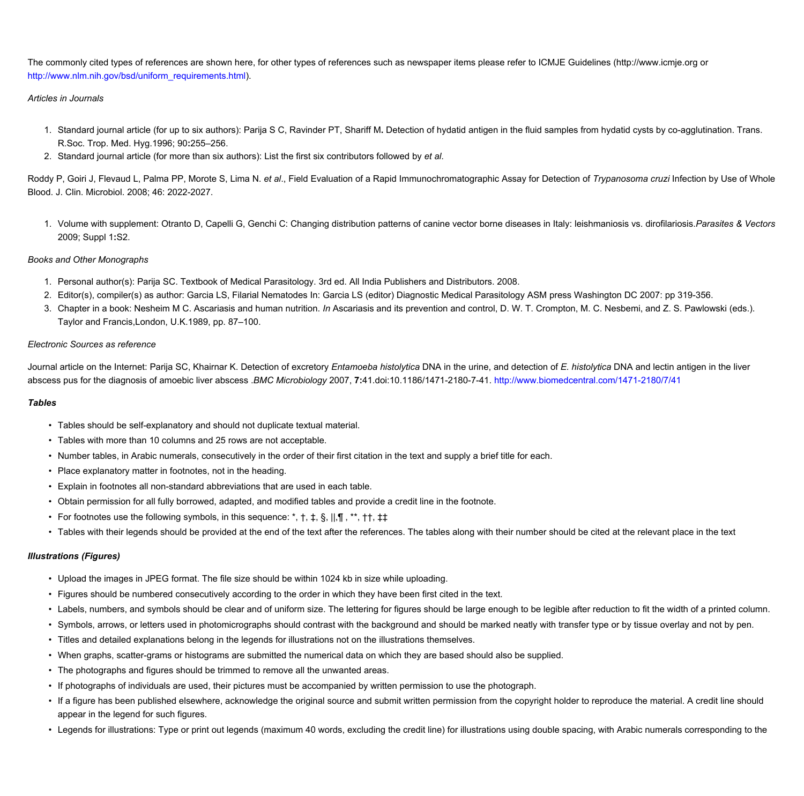The commonly cited types of references are shown here, for other types of references such as newspaper items please refer to ICMJE Guidelines (http://www.icmje.org or **[http://www.nlm.nih.gov/bsd/uniform\\_requirements.html\)](https://www.nlm.nih.gov/bsd/uniform_requirements.html).**

### *Articles in Journals*

- 1. Standard journal article (for up to six authors): Parija S C, Ravinder PT, Shariff M. Detection of hydatid antigen in the fluid samples from hydatid cysts by co-agglutination. Trans. **R.Soc. Trop. Med. Hyg.1996; 90:255–256.**
- 2. Standard journal article (for more than six authors): List the first six contributors followed by et al.

Roddy P, Goiri J, Flevaud L, Palma PP, Morote S, Lima N. et al., Field Evaluation of a Rapid Immunochromatographic Assay for Detection of Trypanosoma cruzi Infection by Use of Whole **Blood. J. Clin. Microbiol. 2008; 46: 2022-2027.**

1. Volume with supplement: Otranto D, Capelli G, Genchi C: Changing distribution patterns of canine vector borne diseases in Italy: leishmaniosis vs. dirofilariosis. Parasites & Vectors **2009; Suppl 1:S2.** 

#### *Books and Other Monographs*

- 1. Personal author(s): Parija SC. Textbook of Medical Parasitology. 3rd ed. All India Publishers and Distributors. 2008.
- 2. Editor(s), compiler(s) as author: Garcia LS, Filarial Nematodes In: Garcia LS (editor) Diagnostic Medical Parasitology ASM press Washington DC 2007: pp 319-356.
- 3. Chapter in a book: Nesheim M C. Ascariasis and human nutrition. In Ascariasis and its prevention and control, D. W. T. Crompton, M. C. Nesbemi, and Z. S. Pawlowski (eds.). **Taylor and Francis,London, U.K.1989, pp. 87–100.**

#### *Electronic Sources as reference*

Journal article on the Internet: Parija SC, Khairnar K. Detection of excretory Entamoeba histolytica DNA in the urine, and detection of E. histolytica DNA and lectin antigen in the liver abscess pus for the diagnosis of amoebic liver abscess .BMC Microbiology 2007, 7:41.doi:10.1186/1471-2180-7-41.[http://www.biomedcentral.com/1471-2180/7/41](https://www.biomedcentral.com/1471-2180/7/41)

#### *Tables*

- **• Tables should be self-explanatory and should not duplicate textual material.**
- **• Tables with more than 10 columns and 25 rows are not acceptable.**
- Number tables, in Arabic numerals, consecutively in the order of their first citation in the text and supply a brief title for each.
- **• Place explanatory matter in footnotes, not in the heading.**
- **• Explain in footnotes all non-standard abbreviations that are used in each table.**
- Obtain permission for all fully borrowed, adapted, and modified tables and provide a credit line in the footnote.
- **• For footnotes use the following symbols, in this sequence: \*, †, ‡, §, ||,¶ , \*\*, ††, ‡‡**
- Tables with their legends should be provided at the end of the text after the references. The tables along with their number should be cited at the relevant place in the text

### *Illustrations (Figures)*

- Upload the images in JPEG format. The file size should be within 1024 kb in size while uploading.
- Figures should be numbered consecutively according to the order in which they have been first cited in the text.
- Labels, numbers, and symbols should be clear and of uniform size. The lettering for figures should be large enough to be legible after reduction to fit the width of a printed column.
- . Symbols, arrows, or letters used in photomicrographs should contrast with the background and should be marked neatly with transfer type or by tissue overlay and not by pen.
- **• Titles and detailed explanations belong in the legends for illustrations not on the illustrations themselves.**
- When graphs, scatter-grams or histograms are submitted the numerical data on which they are based should also be supplied.
- **• The photographs and figures should be trimmed to remove all the unwanted areas.**
- If photographs of individuals are used, their pictures must be accompanied by written permission to use the photograph.
- If a figure has been published elsewhere, acknowledge the original source and submit written permission from the copyright holder to reproduce the material. A credit line should **appear in the legend for such figures.**
- Legends for illustrations: Type or print out legends (maximum 40 words, excluding the credit line) for illustrations using double spacing, with Arabic numerals corresponding to the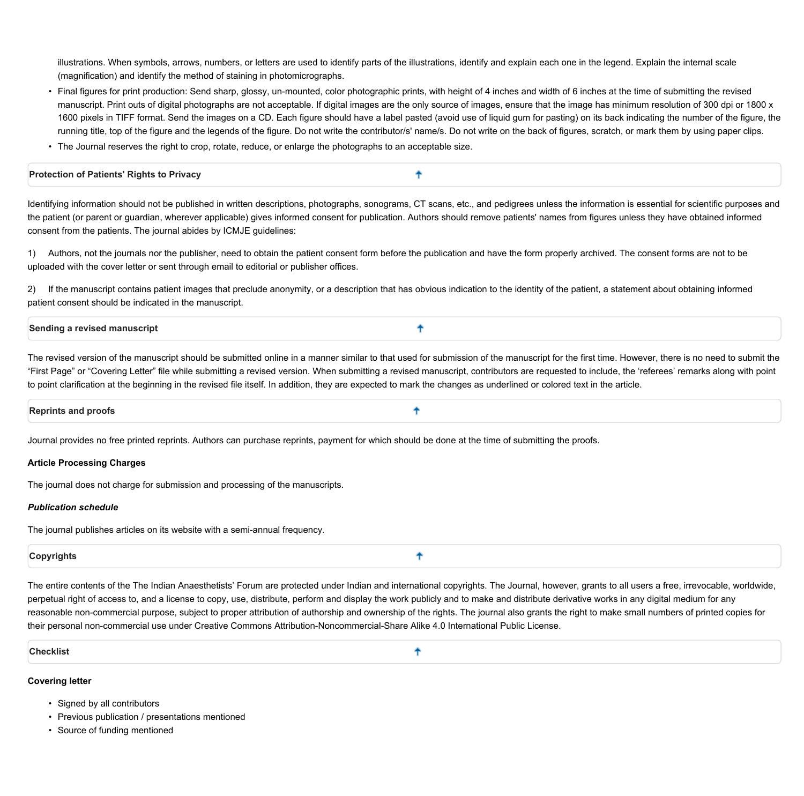illustrations. When symbols, arrows, numbers, or letters are used to identify parts of the illustrations, identify and explain each one in the legend. Explain the internal scale **(magnification) and identify the method of staining in photomicrographs.**

- Final figures for print production: Send sharp, glossy, un-mounted, color photographic prints, with height of 4 inches and width of 6 inches at the time of submitting the revised manuscript. Print outs of digital photographs are not acceptable. If digital images are the only source of images, ensure that the image has minimum resolution of 300 dpi or 1800 x 1600 pixels in TIFF format. Send the images on a CD. Each figure should have a label pasted (avoid use of liquid gum for pasting) on its back indicating the number of the figure, the running title, top of the figure and the legends of the figure. Do not write the contributor/s' name/s. Do not write on the back of figures, scratch, or mark them by using paper clips.
- The Journal reserves the right to crop, rotate, reduce, or enlarge the photographs to an acceptable size.

#### <span id="page-6-0"></span>٠ **Protection of Patients' Rights to Privacy**

Identifying information should not be published in written descriptions, photographs, sonograms, CT scans, etc., and pedigrees unless the information is essential for scientific purposes and the patient (or parent or guardian, wherever applicable) gives informed consent for publication. Authors should remove patients' names from figures unless they have obtained informed **consent from the patients. The journal abides by ICMJE guidelines:**

1) Authors, not the journals nor the publisher, need to obtain the patient consent form before the publication and have the form properly archived. The consent forms are not to be **uploaded with the cover letter or sent through email to editorial or publisher offices.** 

2) If the manuscript contains patient images that preclude anonymity, or a description that has obvious indication to the identity of the patient, a statement about obtaining informed **patient consent should be indicated in the manuscript.**

#### <span id="page-6-1"></span>**Sending a revised manuscript**

The revised version of the manuscript should be submitted online in a manner similar to that used for submission of the manuscript for the first time. However, there is no need to submit the "First Page" or "Covering Letter" file while submitting a revised version. When submitting a revised manuscript, contributors are requested to include, the 'referees' remarks along with point to point clarification at the beginning in the revised file itself. In addition, they are expected to mark the changes as underlined or colored text in the article.

个

╇

#### <span id="page-6-2"></span>**Reprints and proofs**

Journal provides no free printed reprints. Authors can purchase reprints, payment for which should be done at the time of submitting the proofs.

#### **Article Processing Charges**

**The journal does not charge for submission and processing of the manuscripts.**

#### *Publication schedule*

**The journal publishes articles on its website with a semi-annual frequency.**

<span id="page-6-3"></span>**Copyrights**

The entire contents of the The Indian Anaesthetists' Forum are protected under Indian and international copyrights. The Journal, however, grants to all users a free, irrevocable, worldwide, perpetual right of access to, and a license to copy, use, distribute, perform and display the work publicly and to make and distribute derivative works in any digital medium for any reasonable non-commercial purpose, subject to proper attribution of authorship and ownership of the rights. The journal also grants the right to make small numbers of printed copies for **their personal non-commercial use under Creative Commons Attribution-Noncommercial-Share Alike 4.0 International Public License.**

<span id="page-6-4"></span>**Checklist**

4

╇

#### **Covering letter**

**• Signed by all contributors**

**• Previous publication / presentations mentioned**

**• Source of funding mentioned**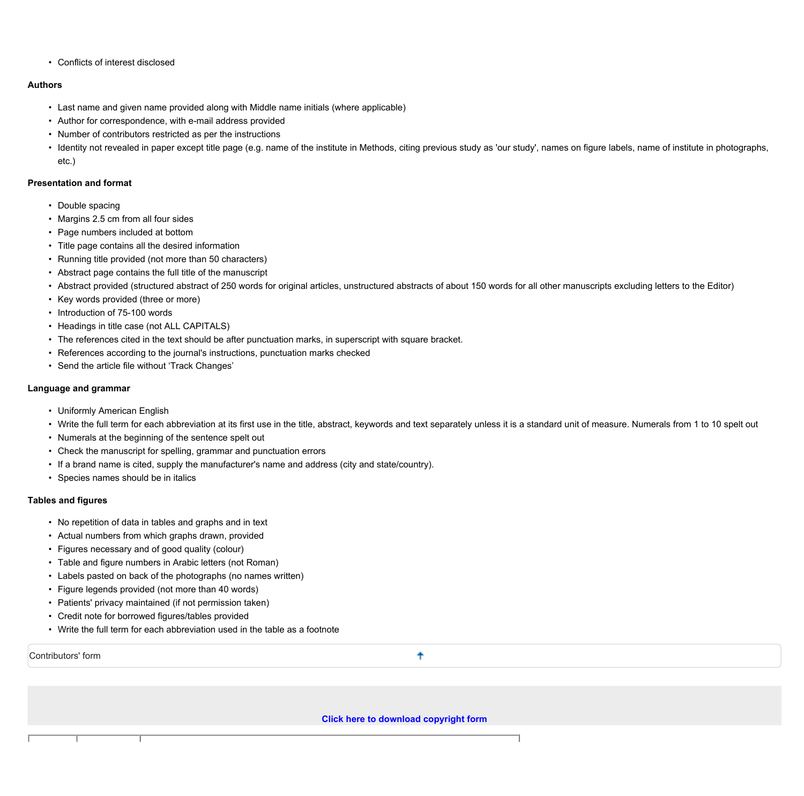**• Conflicts of interest disclosed**

### **Authors**

- **• Last name and given name provided along with Middle name initials (where applicable)**
- **• Author for correspondence, with e-mail address provided**
- **• Number of contributors restricted as per the instructions**
- · Identity not revealed in paper except title page (e.g. name of the institute in Methods, citing previous study as 'our study', names on figure labels, name of institute in photographs, **etc.)**

### **Presentation and format**

- **• Double spacing**
- **• Margins 2.5 cm from all four sides**
- **• Page numbers included at bottom**
- **• Title page contains all the desired information**
- **• Running title provided (not more than 50 characters)**
- **• Abstract page contains the full title of the manuscript**
- Abstract provided (structured abstract of 250 words for original articles, unstructured abstracts of about 150 words for all other manuscripts excluding letters to the Editor)
- **• Key words provided (three or more)**
- **• Introduction of 75-100 words**
- **• Headings in title case (not ALL CAPITALS)**
- **• The references cited in the text should be after punctuation marks, in superscript with square bracket.**
- **• References according to the journal's instructions, punctuation marks checked**
- **• Send the article file without 'Track Changes'**

## **Language and grammar**

- **• Uniformly American English**
- Write the full term for each abbreviation at its first use in the title, abstract, keywords and text separately unless it is a standard unit of measure. Numerals from 1 to 10 spelt out
- **• Numerals at the beginning of the sentence spelt out**
- **• Check the manuscript for spelling, grammar and punctuation errors**
- **• If a brand name is cited, supply the manufacturer's name and address (city and state/country).**
- **• Species names should be in italics**

### **Tables and figures**

- **• No repetition of data in tables and graphs and in text**
- **• Actual numbers from which graphs drawn, provided**
- **• Figures necessary and of good quality (colour)**
- **• Table and figure numbers in Arabic letters (not Roman)**
- **• Labels pasted on back of the photographs (no names written)**
- **• Figure legends provided (not more than 40 words)**
- **• Patients' privacy maintained (if not permission taken)**
- **• Credit note for borrowed figures/tables provided**
- **• Write the full term for each abbreviation used in the table as a footnote**

<span id="page-7-0"></span>**Contributors' form** 

٠

**[Click](http://www.theiaforum.org/documents/copyright.doc) [here](http://www.theiaforum.org/documents/copyright.doc) [to](http://www.theiaforum.org/documents/copyright.doc) [download](http://www.theiaforum.org/documents/copyright.doc) [copyright](http://www.theiaforum.org/documents/copyright.doc) [form](http://www.theiaforum.org/documents/copyright.doc)**